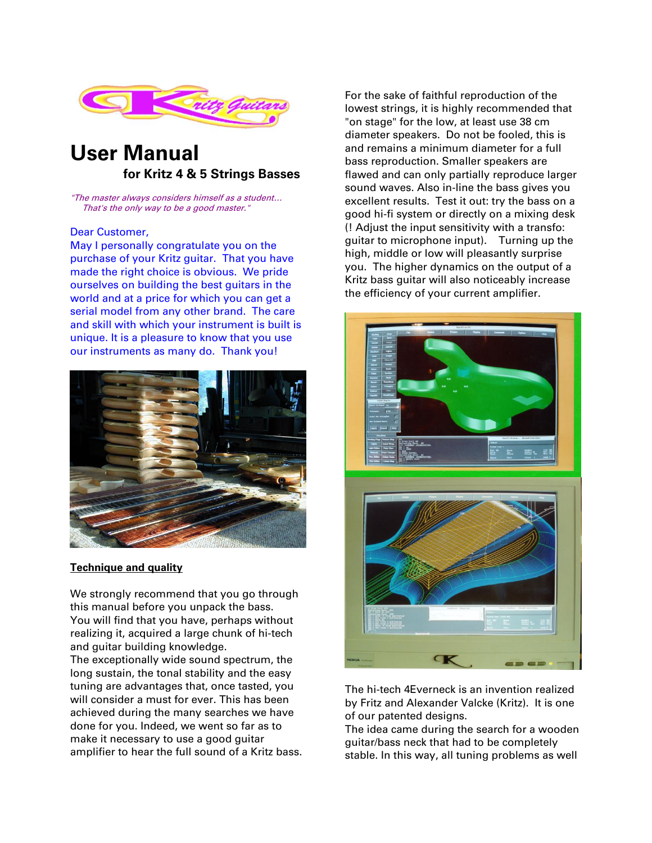

# **User Manual for Kritz 4 & 5 Strings Basses**

"The master always considers himself as a student… That's the only way to be a good master."

#### Dear Customer,

May I personally congratulate you on the purchase of your Kritz guitar. That you have made the right choice is obvious. We pride ourselves on building the best guitars in the world and at a price for which you can get a serial model from any other brand. The care and skill with which your instrument is built is unique. It is a pleasure to know that you use our instruments as many do. Thank you!



#### **Technique and quality**

We strongly recommend that you go through this manual before you unpack the bass. You will find that you have, perhaps without realizing it, acquired a large chunk of hi-tech and guitar building knowledge.

The exceptionally wide sound spectrum, the long sustain, the tonal stability and the easy tuning are advantages that, once tasted, you will consider a must for ever. This has been achieved during the many searches we have done for you. Indeed, we went so far as to make it necessary to use a good guitar amplifier to hear the full sound of a Kritz bass. For the sake of faithful reproduction of the lowest strings, it is highly recommended that "on stage" for the low, at least use 38 cm diameter speakers. Do not be fooled, this is and remains a minimum diameter for a full bass reproduction. Smaller speakers are flawed and can only partially reproduce larger sound waves. Also in-line the bass gives you excellent results. Test it out: try the bass on a good hi-fi system or directly on a mixing desk (! Adjust the input sensitivity with a transfo: guitar to microphone input). Turning up the high, middle or low will pleasantly surprise you. The higher dynamics on the output of a Kritz bass guitar will also noticeably increase the efficiency of your current amplifier.



The hi-tech 4Everneck is an invention realized by Fritz and Alexander Valcke (Kritz). It is one of our patented designs.

The idea came during the search for a wooden guitar/bass neck that had to be completely stable. In this way, all tuning problems as well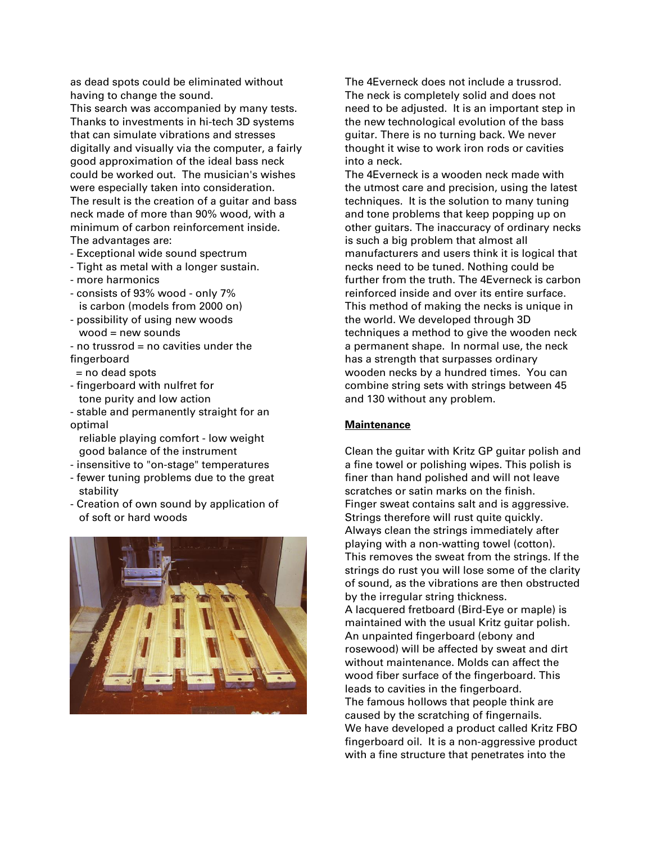as dead spots could be eliminated without having to change the sound.

This search was accompanied by many tests. Thanks to investments in hi-tech 3D systems that can simulate vibrations and stresses digitally and visually via the computer, a fairly good approximation of the ideal bass neck could be worked out. The musician's wishes were especially taken into consideration. The result is the creation of a guitar and bass neck made of more than 90% wood, with a minimum of carbon reinforcement inside. The advantages are:

- Exceptional wide sound spectrum
- Tight as metal with a longer sustain.
- more harmonics
- consists of 93% wood only 7% is carbon (models from 2000 on)
- possibility of using new woods wood = new sounds
- no trussrod = no cavities under the fingerboard
- = no dead spots
- fingerboard with nulfret for tone purity and low action
- stable and permanently straight for an optimal

 reliable playing comfort - low weight good balance of the instrument

- insensitive to "on-stage" temperatures
- fewer tuning problems due to the great stability
- Creation of own sound by application of of soft or hard woods



The 4Everneck does not include a trussrod. The neck is completely solid and does not need to be adjusted. It is an important step in the new technological evolution of the bass guitar. There is no turning back. We never thought it wise to work iron rods or cavities into a neck.

The 4Everneck is a wooden neck made with the utmost care and precision, using the latest techniques. It is the solution to many tuning and tone problems that keep popping up on other guitars. The inaccuracy of ordinary necks is such a big problem that almost all manufacturers and users think it is logical that necks need to be tuned. Nothing could be further from the truth. The 4Everneck is carbon reinforced inside and over its entire surface. This method of making the necks is unique in the world. We developed through 3D techniques a method to give the wooden neck a permanent shape. In normal use, the neck has a strength that surpasses ordinary wooden necks by a hundred times. You can combine string sets with strings between 45 and 130 without any problem.

#### **Maintenance**

Clean the guitar with Kritz GP guitar polish and a fine towel or polishing wipes. This polish is finer than hand polished and will not leave scratches or satin marks on the finish. Finger sweat contains salt and is aggressive. Strings therefore will rust quite quickly. Always clean the strings immediately after playing with a non-watting towel (cotton). This removes the sweat from the strings. If the strings do rust you will lose some of the clarity of sound, as the vibrations are then obstructed by the irregular string thickness. A lacquered fretboard (Bird-Eye or maple) is maintained with the usual Kritz guitar polish. An unpainted fingerboard (ebony and rosewood) will be affected by sweat and dirt without maintenance. Molds can affect the wood fiber surface of the fingerboard. This leads to cavities in the fingerboard. The famous hollows that people think are caused by the scratching of fingernails. We have developed a product called Kritz FBO fingerboard oil. It is a non-aggressive product with a fine structure that penetrates into the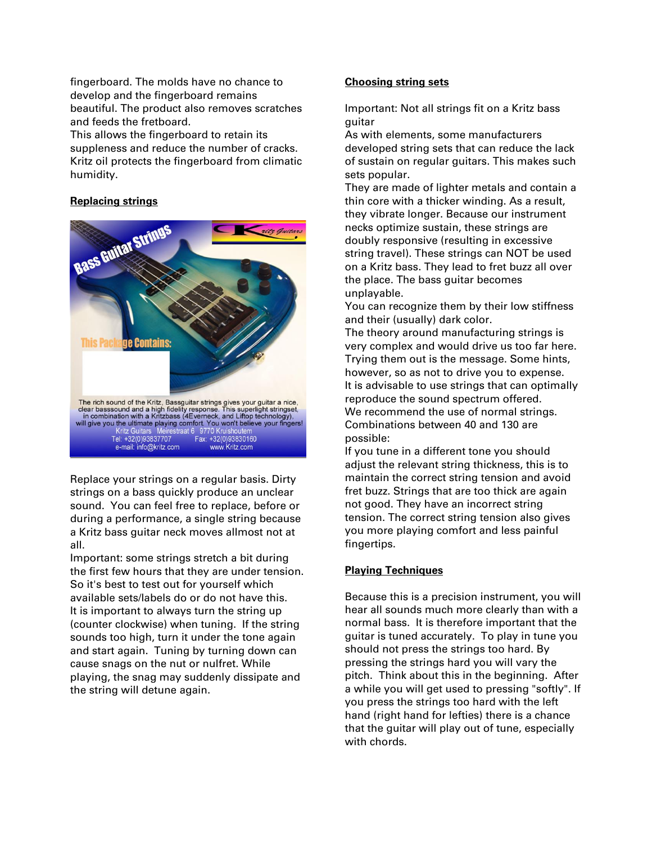fingerboard. The molds have no chance to develop and the fingerboard remains beautiful. The product also removes scratches and feeds the fretboard.

This allows the fingerboard to retain its suppleness and reduce the number of cracks. Kritz oil protects the fingerboard from climatic humidity.

# **Replacing strings**



Replace your strings on a regular basis. Dirty strings on a bass quickly produce an unclear sound. You can feel free to replace, before or during a performance, a single string because a Kritz bass guitar neck moves allmost not at all.

Important: some strings stretch a bit during the first few hours that they are under tension. So it's best to test out for yourself which available sets/labels do or do not have this. It is important to always turn the string up (counter clockwise) when tuning. If the string sounds too high, turn it under the tone again and start again. Tuning by turning down can cause snags on the nut or nulfret. While playing, the snag may suddenly dissipate and the string will detune again.

# **Choosing string sets**

Important: Not all strings fit on a Kritz bass guitar

As with elements, some manufacturers developed string sets that can reduce the lack of sustain on regular guitars. This makes such sets popular.

They are made of lighter metals and contain a thin core with a thicker winding. As a result, they vibrate longer. Because our instrument necks optimize sustain, these strings are doubly responsive (resulting in excessive string travel). These strings can NOT be used on a Kritz bass. They lead to fret buzz all over the place. The bass guitar becomes unplayable.

You can recognize them by their low stiffness and their (usually) dark color.

The theory around manufacturing strings is very complex and would drive us too far here. Trying them out is the message. Some hints, however, so as not to drive you to expense. It is advisable to use strings that can optimally reproduce the sound spectrum offered. We recommend the use of normal strings. Combinations between 40 and 130 are possible:

If you tune in a different tone you should adjust the relevant string thickness, this is to maintain the correct string tension and avoid fret buzz. Strings that are too thick are again not good. They have an incorrect string tension. The correct string tension also gives you more playing comfort and less painful fingertips.

# **Playing Techniques**

Because this is a precision instrument, you will hear all sounds much more clearly than with a normal bass. It is therefore important that the guitar is tuned accurately. To play in tune you should not press the strings too hard. By pressing the strings hard you will vary the pitch. Think about this in the beginning. After a while you will get used to pressing "softly". If you press the strings too hard with the left hand (right hand for lefties) there is a chance that the guitar will play out of tune, especially with chords.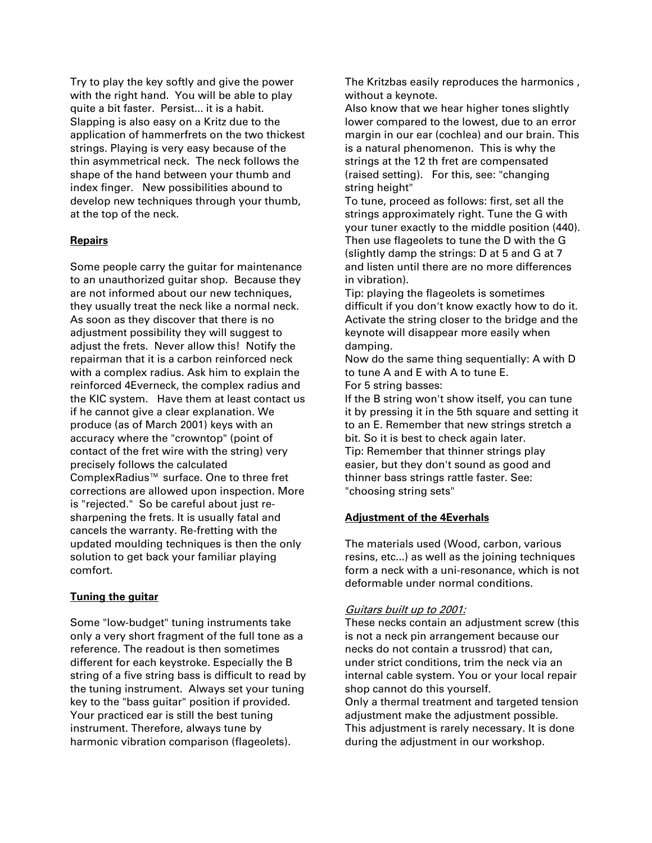Try to play the key softly and give the power with the right hand. You will be able to play quite a bit faster. Persist... it is a habit. Slapping is also easy on a Kritz due to the application of hammerfrets on the two thickest strings. Playing is very easy because of the thin asymmetrical neck. The neck follows the shape of the hand between your thumb and index finger. New possibilities abound to develop new techniques through your thumb, at the top of the neck.

# **Repairs**

Some people carry the guitar for maintenance to an unauthorized guitar shop. Because they are not informed about our new techniques, they usually treat the neck like a normal neck. As soon as they discover that there is no adjustment possibility they will suggest to adjust the frets. Never allow this! Notify the repairman that it is a carbon reinforced neck with a complex radius. Ask him to explain the reinforced 4Everneck, the complex radius and the KIC system. Have them at least contact us if he cannot give a clear explanation. We produce (as of March 2001) keys with an accuracy where the "crowntop" (point of contact of the fret wire with the string) very precisely follows the calculated ComplexRadius™ surface. One to three fret corrections are allowed upon inspection. More is "rejected." So be careful about just resharpening the frets. It is usually fatal and cancels the warranty. Re-fretting with the updated moulding techniques is then the only solution to get back your familiar playing comfort.

# **Tuning the guitar**

Some "low-budget" tuning instruments take only a very short fragment of the full tone as a reference. The readout is then sometimes different for each keystroke. Especially the B string of a five string bass is difficult to read by the tuning instrument. Always set your tuning key to the "bass guitar" position if provided. Your practiced ear is still the best tuning instrument. Therefore, always tune by harmonic vibration comparison (flageolets).

The Kritzbas easily reproduces the harmonics , without a keynote.

Also know that we hear higher tones slightly lower compared to the lowest, due to an error margin in our ear (cochlea) and our brain. This is a natural phenomenon. This is why the strings at the 12 th fret are compensated (raised setting). For this, see: "changing string height"

To tune, proceed as follows: first, set all the strings approximately right. Tune the G with your tuner exactly to the middle position (440). Then use flageolets to tune the D with the G (slightly damp the strings: D at 5 and G at 7 and listen until there are no more differences in vibration).

Tip: playing the flageolets is sometimes difficult if you don't know exactly how to do it. Activate the string closer to the bridge and the keynote will disappear more easily when damping.

Now do the same thing sequentially: A with D to tune A and E with A to tune E. For 5 string basses:

If the B string won't show itself, you can tune it by pressing it in the 5th square and setting it to an E. Remember that new strings stretch a bit. So it is best to check again later. Tip: Remember that thinner strings play easier, but they don't sound as good and thinner bass strings rattle faster. See: "choosing string sets"

# **Adjustment of the 4Everhals**

The materials used (Wood, carbon, various resins, etc...) as well as the joining techniques form a neck with a uni-resonance, which is not deformable under normal conditions.

# Guitars built up to 2001:

These necks contain an adjustment screw (this is not a neck pin arrangement because our necks do not contain a trussrod) that can, under strict conditions, trim the neck via an internal cable system. You or your local repair shop cannot do this yourself. Only a thermal treatment and targeted tension adjustment make the adjustment possible. This adjustment is rarely necessary. It is done during the adjustment in our workshop.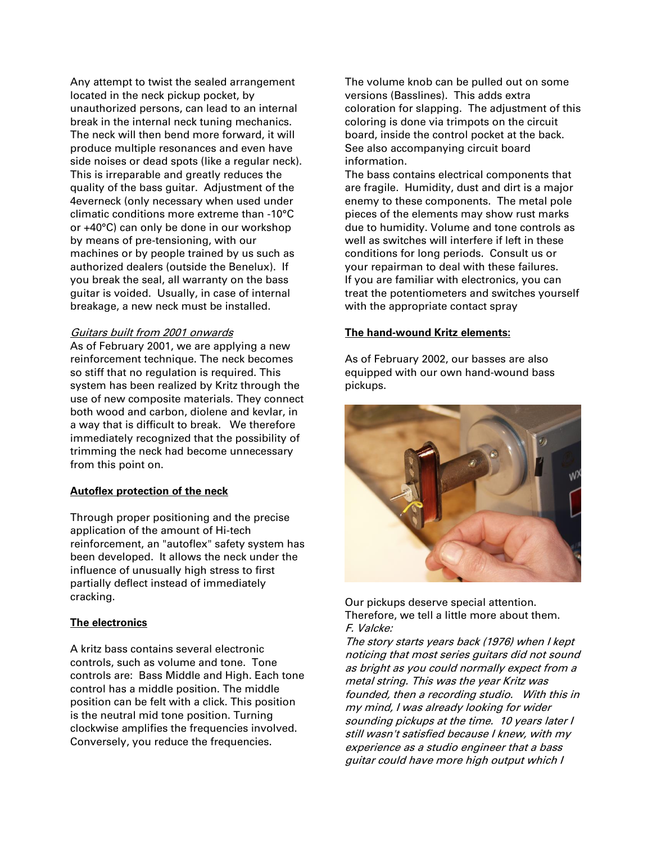Any attempt to twist the sealed arrangement located in the neck pickup pocket, by unauthorized persons, can lead to an internal break in the internal neck tuning mechanics. The neck will then bend more forward, it will produce multiple resonances and even have side noises or dead spots (like a regular neck). This is irreparable and greatly reduces the quality of the bass guitar. Adjustment of the 4everneck (only necessary when used under climatic conditions more extreme than -10°C or +40°C) can only be done in our workshop by means of pre-tensioning, with our machines or by people trained by us such as authorized dealers (outside the Benelux). If you break the seal, all warranty on the bass guitar is voided. Usually, in case of internal breakage, a new neck must be installed.

#### Guitars built from 2001 onwards

As of February 2001, we are applying a new reinforcement technique. The neck becomes so stiff that no regulation is required. This system has been realized by Kritz through the use of new composite materials. They connect both wood and carbon, diolene and kevlar, in a way that is difficult to break. We therefore immediately recognized that the possibility of trimming the neck had become unnecessary from this point on.

# **Autoflex protection of the neck**

Through proper positioning and the precise application of the amount of Hi-tech reinforcement, an "autoflex" safety system has been developed. It allows the neck under the influence of unusually high stress to first partially deflect instead of immediately cracking.

#### **The electronics**

A kritz bass contains several electronic controls, such as volume and tone. Tone controls are: Bass Middle and High. Each tone control has a middle position. The middle position can be felt with a click. This position is the neutral mid tone position. Turning clockwise amplifies the frequencies involved. Conversely, you reduce the frequencies.

The volume knob can be pulled out on some versions (Basslines). This adds extra coloration for slapping. The adjustment of this coloring is done via trimpots on the circuit board, inside the control pocket at the back. See also accompanying circuit board information.

The bass contains electrical components that are fragile. Humidity, dust and dirt is a major enemy to these components. The metal pole pieces of the elements may show rust marks due to humidity. Volume and tone controls as well as switches will interfere if left in these conditions for long periods. Consult us or your repairman to deal with these failures. If you are familiar with electronics, you can treat the potentiometers and switches yourself with the appropriate contact spray

#### **The hand-wound Kritz elements:**

As of February 2002, our basses are also equipped with our own hand-wound bass pickups.



Our pickups deserve special attention. Therefore, we tell a little more about them. F. Valcke:

The story starts years back (1976) when I kept noticing that most series guitars did not sound as bright as you could normally expect from a metal string. This was the year Kritz was founded, then a recording studio. With this in my mind, I was already looking for wider sounding pickups at the time. 10 years later I still wasn't satisfied because I knew, with my experience as a studio engineer that a bass guitar could have more high output which I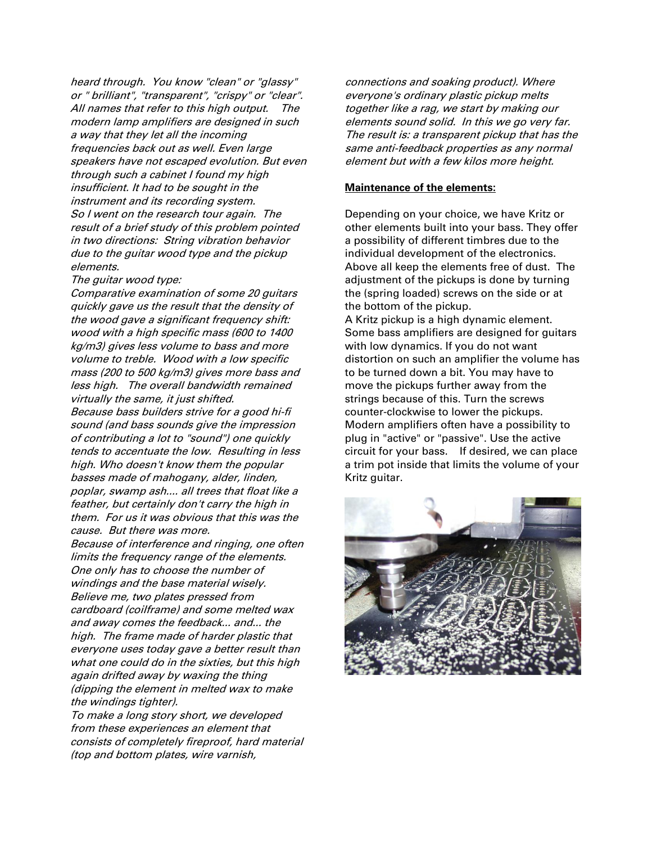heard through. You know "clean" or "glassy" or " brilliant", "transparent", "crispy" or "clear". All names that refer to this high output. The modern lamp amplifiers are designed in such a way that they let all the incoming frequencies back out as well. Even large speakers have not escaped evolution. But even through such a cabinet I found my high insufficient. It had to be sought in the instrument and its recording system. So I went on the research tour again. The result of a brief study of this problem pointed in two directions: String vibration behavior due to the guitar wood type and the pickup elements.

#### The guitar wood type:

Comparative examination of some 20 guitars quickly gave us the result that the density of the wood gave a significant frequency shift: wood with a high specific mass (600 to 1400 kg/m3) gives less volume to bass and more volume to treble. Wood with a low specific mass (200 to 500 kg/m3) gives more bass and less high. The overall bandwidth remained virtually the same, it just shifted.

Because bass builders strive for a good hi-fi sound (and bass sounds give the impression of contributing a lot to "sound") one quickly tends to accentuate the low. Resulting in less high. Who doesn't know them the popular basses made of mahogany, alder, linden, poplar, swamp ash.... all trees that float like a feather, but certainly don't carry the high in them. For us it was obvious that this was the cause. But there was more.

Because of interference and ringing, one often limits the frequency range of the elements. One only has to choose the number of windings and the base material wisely. Believe me, two plates pressed from cardboard (coilframe) and some melted wax and away comes the feedback... and... the high. The frame made of harder plastic that everyone uses today gave a better result than what one could do in the sixties, but this high again drifted away by waxing the thing (dipping the element in melted wax to make the windings tighter).

To make a long story short, we developed from these experiences an element that consists of completely fireproof, hard material (top and bottom plates, wire varnish,

connections and soaking product). Where everyone's ordinary plastic pickup melts together like a rag, we start by making our elements sound solid. In this we go very far. The result is: a transparent pickup that has the same anti-feedback properties as any normal element but with a few kilos more height.

#### **Maintenance of the elements:**

Depending on your choice, we have Kritz or other elements built into your bass. They offer a possibility of different timbres due to the individual development of the electronics. Above all keep the elements free of dust. The adjustment of the pickups is done by turning the (spring loaded) screws on the side or at the bottom of the pickup.

A Kritz pickup is a high dynamic element. Some bass amplifiers are designed for guitars with low dynamics. If you do not want distortion on such an amplifier the volume has to be turned down a bit. You may have to move the pickups further away from the strings because of this. Turn the screws counter-clockwise to lower the pickups. Modern amplifiers often have a possibility to plug in "active" or "passive". Use the active circuit for your bass. If desired, we can place a trim pot inside that limits the volume of your Kritz guitar.

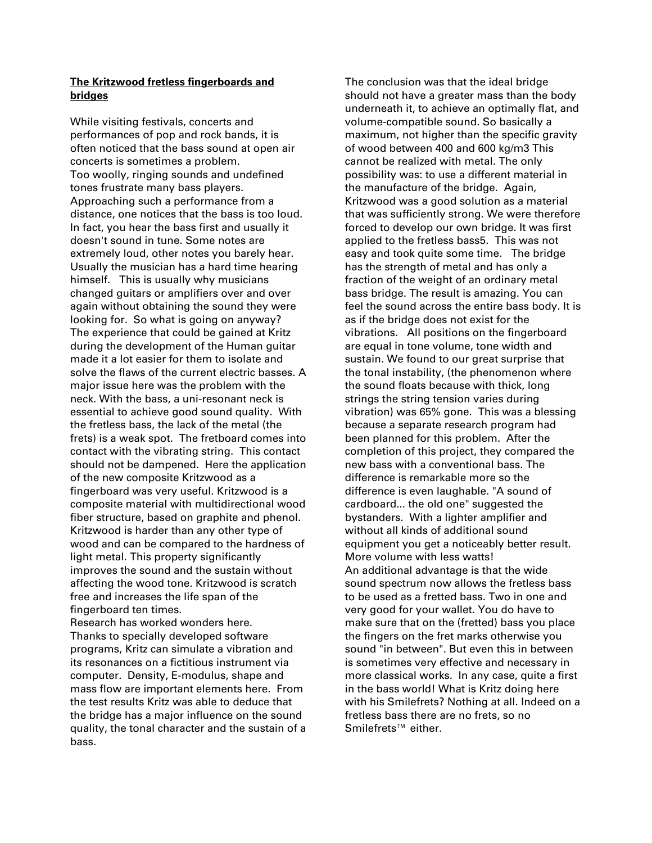# **The Kritzwood fretless fingerboards and bridges**

While visiting festivals, concerts and performances of pop and rock bands, it is often noticed that the bass sound at open air concerts is sometimes a problem. Too woolly, ringing sounds and undefined tones frustrate many bass players. Approaching such a performance from a distance, one notices that the bass is too loud. In fact, you hear the bass first and usually it doesn't sound in tune. Some notes are extremely loud, other notes you barely hear. Usually the musician has a hard time hearing himself. This is usually why musicians changed guitars or amplifiers over and over again without obtaining the sound they were looking for. So what is going on anyway? The experience that could be gained at Kritz during the development of the Human guitar made it a lot easier for them to isolate and solve the flaws of the current electric basses. A major issue here was the problem with the neck. With the bass, a uni-resonant neck is essential to achieve good sound quality. With the fretless bass, the lack of the metal (the frets) is a weak spot. The fretboard comes into contact with the vibrating string. This contact should not be dampened. Here the application of the new composite Kritzwood as a fingerboard was very useful. Kritzwood is a composite material with multidirectional wood fiber structure, based on graphite and phenol. Kritzwood is harder than any other type of wood and can be compared to the hardness of light metal. This property significantly improves the sound and the sustain without affecting the wood tone. Kritzwood is scratch free and increases the life span of the fingerboard ten times.

Research has worked wonders here. Thanks to specially developed software programs, Kritz can simulate a vibration and its resonances on a fictitious instrument via computer. Density, E-modulus, shape and mass flow are important elements here. From the test results Kritz was able to deduce that the bridge has a major influence on the sound quality, the tonal character and the sustain of a bass.

The conclusion was that the ideal bridge should not have a greater mass than the body underneath it, to achieve an optimally flat, and volume-compatible sound. So basically a maximum, not higher than the specific gravity of wood between 400 and 600 kg/m3 This cannot be realized with metal. The only possibility was: to use a different material in the manufacture of the bridge. Again, Kritzwood was a good solution as a material that was sufficiently strong. We were therefore forced to develop our own bridge. It was first applied to the fretless bass5. This was not easy and took quite some time. The bridge has the strength of metal and has only a fraction of the weight of an ordinary metal bass bridge. The result is amazing. You can feel the sound across the entire bass body. It is as if the bridge does not exist for the vibrations. All positions on the fingerboard are equal in tone volume, tone width and sustain. We found to our great surprise that the tonal instability, (the phenomenon where the sound floats because with thick, long strings the string tension varies during vibration) was 65% gone. This was a blessing because a separate research program had been planned for this problem. After the completion of this project, they compared the new bass with a conventional bass. The difference is remarkable more so the difference is even laughable. "A sound of cardboard... the old one" suggested the bystanders. With a lighter amplifier and without all kinds of additional sound equipment you get a noticeably better result. More volume with less watts! An additional advantage is that the wide sound spectrum now allows the fretless bass to be used as a fretted bass. Two in one and very good for your wallet. You do have to make sure that on the (fretted) bass you place the fingers on the fret marks otherwise you sound "in between". But even this in between is sometimes very effective and necessary in more classical works. In any case, quite a first in the bass world! What is Kritz doing here with his Smilefrets? Nothing at all. Indeed on a fretless bass there are no frets, so no Smilefrets™ either.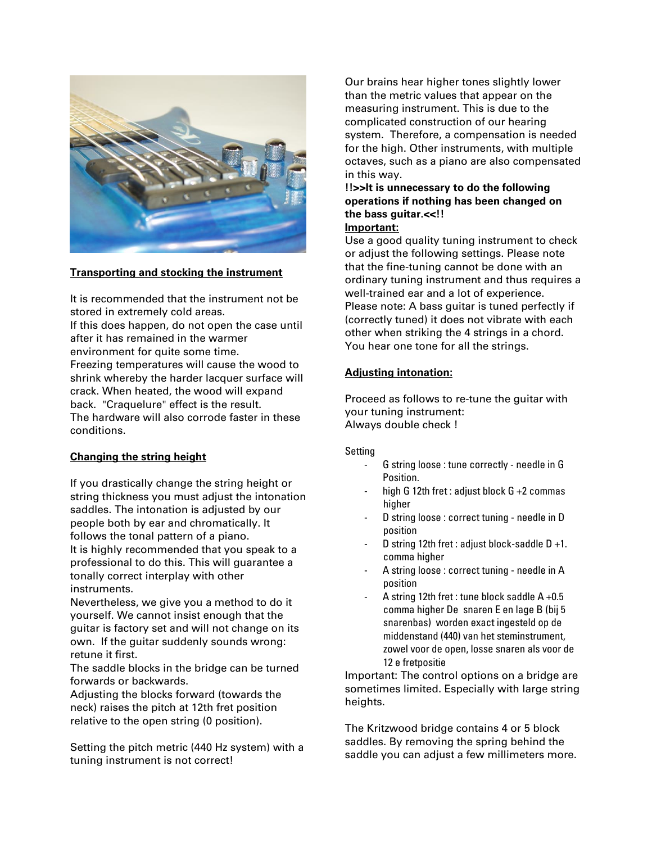

#### **Transporting and stocking the instrument**

It is recommended that the instrument not be stored in extremely cold areas. If this does happen, do not open the case until after it has remained in the warmer environment for quite some time.

Freezing temperatures will cause the wood to shrink whereby the harder lacquer surface will crack. When heated, the wood will expand back. "Craquelure" effect is the result. The hardware will also corrode faster in these conditions.

# **Changing the string height**

If you drastically change the string height or string thickness you must adjust the intonation saddles. The intonation is adjusted by our people both by ear and chromatically. It follows the tonal pattern of a piano. It is highly recommended that you speak to a professional to do this. This will guarantee a tonally correct interplay with other instruments.

Nevertheless, we give you a method to do it yourself. We cannot insist enough that the guitar is factory set and will not change on its own. If the guitar suddenly sounds wrong: retune it first.

The saddle blocks in the bridge can be turned forwards or backwards.

Adjusting the blocks forward (towards the neck) raises the pitch at 12th fret position relative to the open string (0 position).

Setting the pitch metric (440 Hz system) with a tuning instrument is not correct!

Our brains hear higher tones slightly lower than the metric values that appear on the measuring instrument. This is due to the complicated construction of our hearing system. Therefore, a compensation is needed for the high. Other instruments, with multiple octaves, such as a piano are also compensated in this way.

# **!!>>It is unnecessary to do the following operations if nothing has been changed on the bass guitar.<<!!**

# **Important:**

Use a good quality tuning instrument to check or adjust the following settings. Please note that the fine-tuning cannot be done with an ordinary tuning instrument and thus requires a well-trained ear and a lot of experience. Please note: A bass guitar is tuned perfectly if (correctly tuned) it does not vibrate with each other when striking the 4 strings in a chord. You hear one tone for all the strings.

# **Adjusting intonation:**

Proceed as follows to re-tune the guitar with your tuning instrument: Always double check !

#### Setting

- G string loose : tune correctly needle in G Position.
- high G 12th fret : adjust block  $G + 2$  commas higher
- D string loose : correct tuning needle in D position
- D string 12th fret : adjust block-saddle  $D + 1$ . comma higher
- A string loose : correct tuning needle in A position
- A string 12th fret : tune block saddle  $A +0.5$ comma higher De snaren E en lage B (bij 5 snarenbas) worden exact ingesteld op de middenstand (440) van het steminstrument, zowel voor de open, losse snaren als voor de 12 e fretpositie

Important: The control options on a bridge are sometimes limited. Especially with large string heights.

The Kritzwood bridge contains 4 or 5 block saddles. By removing the spring behind the saddle you can adjust a few millimeters more.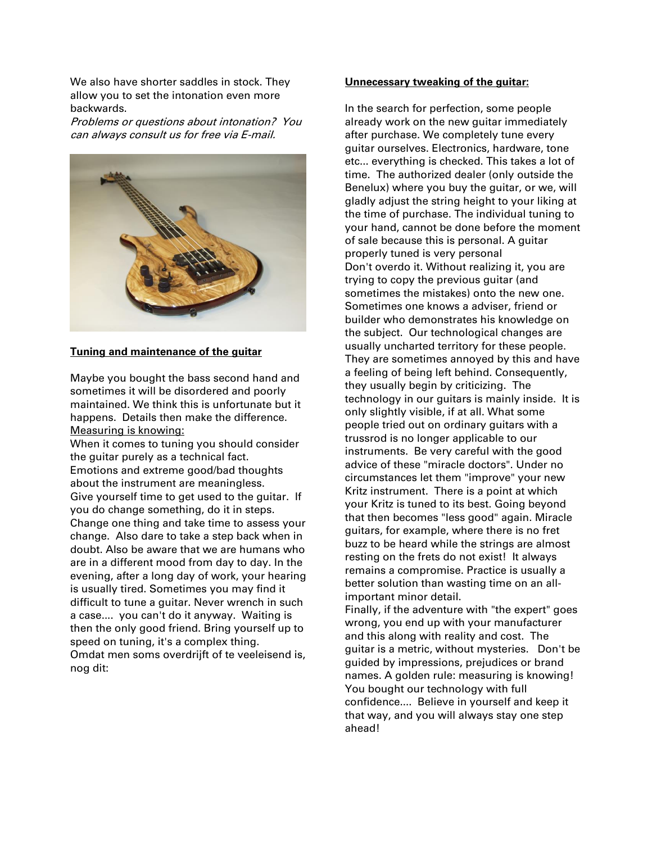We also have shorter saddles in stock. They allow you to set the intonation even more backwards.

Problems or questions about intonation? You can always consult us for free via E-mail.



#### **Tuning and maintenance of the guitar**

Maybe you bought the bass second hand and sometimes it will be disordered and poorly maintained. We think this is unfortunate but it happens. Details then make the difference. Measuring is knowing:

When it comes to tuning you should consider the guitar purely as a technical fact. Emotions and extreme good/bad thoughts about the instrument are meaningless. Give yourself time to get used to the guitar. If you do change something, do it in steps. Change one thing and take time to assess your change. Also dare to take a step back when in doubt. Also be aware that we are humans who are in a different mood from day to day. In the evening, after a long day of work, your hearing is usually tired. Sometimes you may find it difficult to tune a guitar. Never wrench in such a case.... you can't do it anyway. Waiting is then the only good friend. Bring yourself up to speed on tuning, it's a complex thing. Omdat men soms overdrijft of te veeleisend is, nog dit:

#### **Unnecessary tweaking of the guitar:**

In the search for perfection, some people already work on the new guitar immediately after purchase. We completely tune every guitar ourselves. Electronics, hardware, tone etc... everything is checked. This takes a lot of time. The authorized dealer (only outside the Benelux) where you buy the guitar, or we, will gladly adjust the string height to your liking at the time of purchase. The individual tuning to your hand, cannot be done before the moment of sale because this is personal. A guitar properly tuned is very personal Don't overdo it. Without realizing it, you are trying to copy the previous guitar (and sometimes the mistakes) onto the new one. Sometimes one knows a adviser, friend or builder who demonstrates his knowledge on the subject. Our technological changes are usually uncharted territory for these people. They are sometimes annoyed by this and have a feeling of being left behind. Consequently, they usually begin by criticizing. The technology in our guitars is mainly inside. It is only slightly visible, if at all. What some people tried out on ordinary guitars with a trussrod is no longer applicable to our instruments. Be very careful with the good advice of these "miracle doctors". Under no circumstances let them "improve" your new Kritz instrument. There is a point at which your Kritz is tuned to its best. Going beyond that then becomes "less good" again. Miracle guitars, for example, where there is no fret buzz to be heard while the strings are almost resting on the frets do not exist! It always remains a compromise. Practice is usually a better solution than wasting time on an allimportant minor detail. Finally, if the adventure with "the expert" goes wrong, you end up with your manufacturer

and this along with reality and cost. The guitar is a metric, without mysteries. Don't be guided by impressions, prejudices or brand names. A golden rule: measuring is knowing! You bought our technology with full confidence.... Believe in yourself and keep it that way, and you will always stay one step ahead!